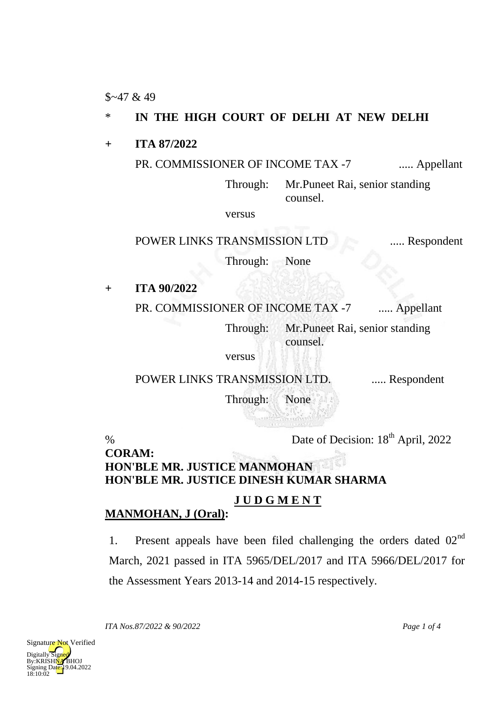$$~47$  & 49

## \* **IN THE HIGH COURT OF DELHI AT NEW DELHI**

**+ ITA 87/2022**

## PR. COMMISSIONER OF INCOME TAX -7 ..... Appellant

Through: Mr.Puneet Rai, senior standing counsel.

versus

POWER LINKS TRANSMISSION LTD ..... Respondent

Through: None

**+ ITA 90/2022**

PR. COMMISSIONER OF INCOME TAX -7 ..... Appellant

Through: Mr.Puneet Rai, senior standing counsel.

versus

POWER LINKS TRANSMISSION LTD. ..... Respondent

Through: None

% Date of Decision: 18<sup>th</sup> April, 2022

**CORAM: HON'BLE MR. JUSTICE MANMOHAN HON'BLE MR. JUSTICE DINESH KUMAR SHARMA**

## **J U D G M E N T**

## **MANMOHAN, J (Oral):**

1. Present appeals have been filed challenging the orders dated  $02<sup>nd</sup>$ March, 2021 passed in ITA 5965/DEL/2017 and ITA 5966/DEL/2017 for the Assessment Years 2013-14 and 2014-15 respectively.

*ITA Nos.87/2022 & 90/2022 Page 1 of 4*



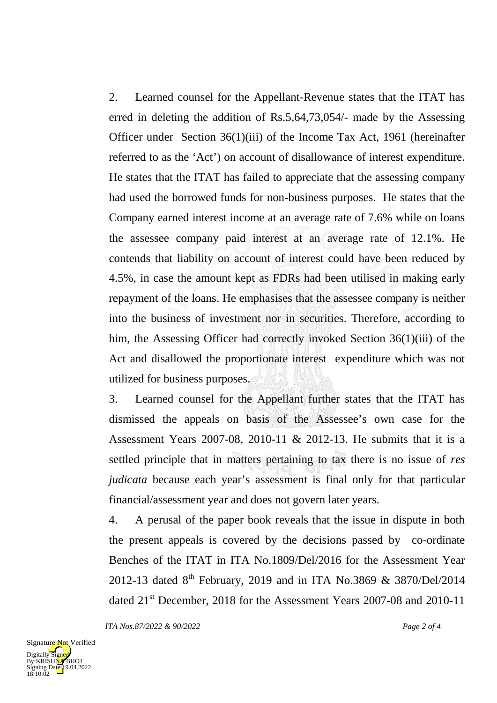2. Learned counsel for the Appellant-Revenue states that the ITAT has erred in deleting the addition of Rs.5,64,73,054/- made by the Assessing Officer under Section 36(1)(iii) of the Income Tax Act, 1961 (hereinafter referred to as the 'Act') on account of disallowance of interest expenditure. He states that the ITAT has failed to appreciate that the assessing company had used the borrowed funds for non-business purposes. He states that the Company earned interest income at an average rate of 7.6% while on loans the assessee company paid interest at an average rate of 12.1%. He contends that liability on account of interest could have been reduced by 4.5%, in case the amount kept as FDRs had been utilised in making early repayment of the loans. He emphasises that the assessee company is neither into the business of investment nor in securities. Therefore, according to him, the Assessing Officer had correctly invoked Section 36(1)(iii) of the Act and disallowed the proportionate interest expenditure which was not utilized for business purposes.

3. Learned counsel for the Appellant further states that the ITAT has dismissed the appeals on basis of the Assessee's own case for the Assessment Years 2007-08, 2010-11 & 2012-13. He submits that it is a settled principle that in matters pertaining to tax there is no issue of *res judicata* because each year's assessment is final only for that particular financial/assessment year and does not govern later years.

4. A perusal of the paper book reveals that the issue in dispute in both the present appeals is covered by the decisions passed by co-ordinate Benches of the ITAT in ITA No.1809/Del/2016 for the Assessment Year 2012-13 dated  $8^{th}$  February, 2019 and in ITA No.3869 & 3870/Del/2014 dated 21<sup>st</sup> December, 2018 for the Assessment Years 2007-08 and 2010-11

*ITA Nos.87/2022 & 90/2022 Page 2 of 4*

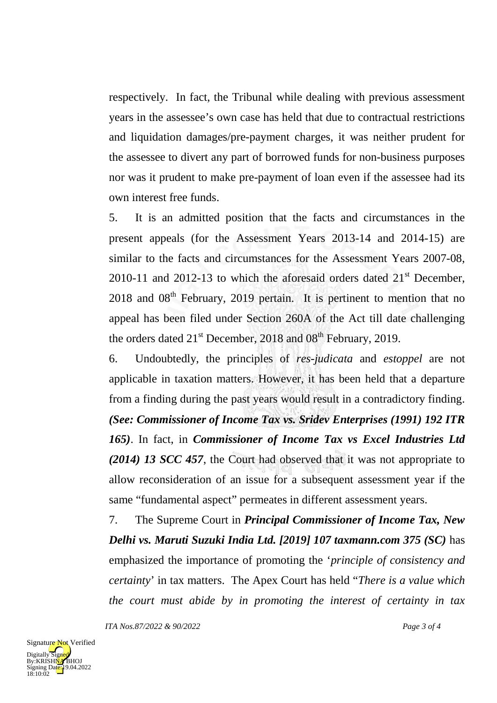respectively. In fact, the Tribunal while dealing with previous assessment years in the assessee's own case has held that due to contractual restrictions and liquidation damages/pre-payment charges, it was neither prudent for the assessee to divert any part of borrowed funds for non-business purposes nor was it prudent to make pre-payment of loan even if the assessee had its own interest free funds.

5. It is an admitted position that the facts and circumstances in the present appeals (for the Assessment Years 2013-14 and 2014-15) are similar to the facts and circumstances for the Assessment Years 2007-08, 2010-11 and 2012-13 to which the aforesaid orders dated  $21<sup>st</sup>$  December,  $2018$  and  $08<sup>th</sup>$  February, 2019 pertain. It is pertinent to mention that no appeal has been filed under Section 260A of the Act till date challenging the orders dated  $21<sup>st</sup>$  December, 2018 and 08<sup>th</sup> February, 2019.

6. Undoubtedly, the principles of *res-judicata* and *estoppel* are not applicable in taxation matters. However, it has been held that a departure from a finding during the past years would result in a contradictory finding. *(See: Commissioner of Income Tax vs. Sridev Enterprises (1991) 192 ITR 165)*. In fact, in *Commissioner of Income Tax vs Excel Industries Ltd (2014) 13 SCC 457*, the Court had observed that it was not appropriate to allow reconsideration of an issue for a subsequent assessment year if the same "fundamental aspect" permeates in different assessment years.

7. The Supreme Court in *Principal Commissioner of Income Tax, New Delhi vs. Maruti Suzuki India Ltd. [2019] 107 taxmann.com 375 (SC)* has emphasized the importance of promoting the '*principle of consistency and certainty*' in tax matters. The Apex Court has held "*There is a value which the court must abide by in promoting the interest of certainty in tax*

*ITA Nos.87/2022 & 90/2022 Page 3 of 4*